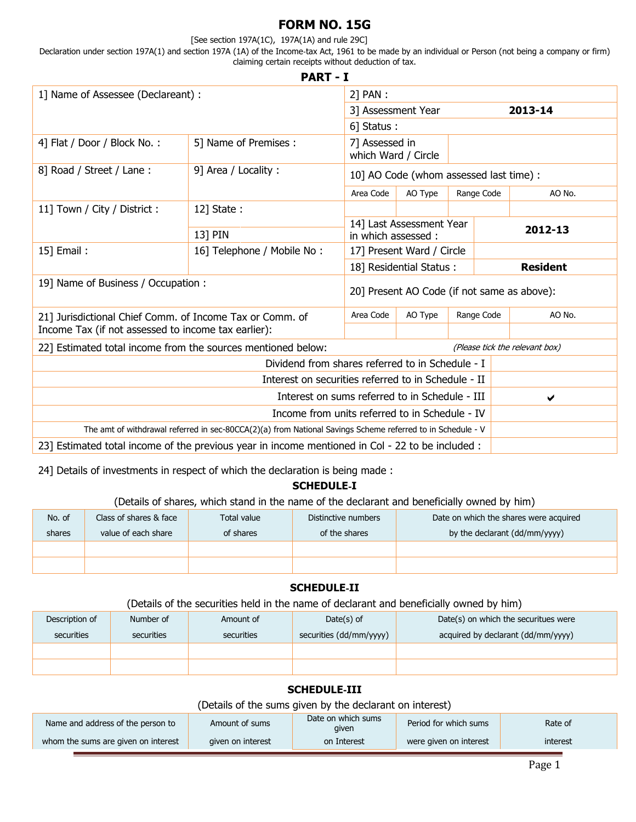# **FORM NO. 15G**

#### [See section 197A(1C), 197A(1A) and rule 29C]

Declaration under section 197A(1) and section 197A (1A) of the Income‐tax Act, 1961 to be made by an individual or Person (not being a company or firm) claiming certain receipts without deduction of tax. **PART - I**

|                                                              | PARI-I                                                                                                     |                                       |                                             |  |                                         |                                |
|--------------------------------------------------------------|------------------------------------------------------------------------------------------------------------|---------------------------------------|---------------------------------------------|--|-----------------------------------------|--------------------------------|
| 1] Name of Assessee (Declareant) :                           |                                                                                                            | 2] PAN :                              |                                             |  |                                         |                                |
|                                                              |                                                                                                            | 3] Assessment Year                    |                                             |  |                                         | 2013-14                        |
|                                                              |                                                                                                            | 6] Status:                            |                                             |  |                                         |                                |
| 4] Flat / Door / Block No.:                                  | 5] Name of Premises :                                                                                      | 7] Assessed in<br>which Ward / Circle |                                             |  |                                         |                                |
| 8] Road / Street / Lane:                                     | 9] Area / Locality:                                                                                        |                                       |                                             |  | 10] AO Code (whom assessed last time) : |                                |
|                                                              |                                                                                                            | Area Code                             | AO Type                                     |  | Range Code                              | AO No.                         |
| 11] Town / City / District :                                 | 12] State:                                                                                                 |                                       |                                             |  |                                         |                                |
|                                                              | 13] PIN                                                                                                    | in which assessed:                    | 14] Last Assessment Year                    |  |                                         | 2012-13                        |
| 15] Email:                                                   | 16] Telephone / Mobile No:                                                                                 | 17] Present Ward / Circle             |                                             |  |                                         |                                |
|                                                              |                                                                                                            |                                       | 18] Residential Status:                     |  |                                         | <b>Resident</b>                |
| 19] Name of Business / Occupation :                          |                                                                                                            |                                       | 20] Present AO Code (if not same as above): |  |                                         |                                |
| 21] Jurisdictional Chief Comm. of Income Tax or Comm. of     |                                                                                                            | Area Code                             | AO Type                                     |  | Range Code                              | AO No.                         |
| Income Tax (if not assessed to income tax earlier):          |                                                                                                            |                                       |                                             |  |                                         |                                |
| 22] Estimated total income from the sources mentioned below: |                                                                                                            |                                       |                                             |  |                                         | (Please tick the relevant box) |
|                                                              | Dividend from shares referred to in Schedule - I                                                           |                                       |                                             |  |                                         |                                |
|                                                              | Interest on securities referred to in Schedule - II                                                        |                                       |                                             |  |                                         |                                |
|                                                              | Interest on sums referred to in Schedule - III                                                             |                                       |                                             |  |                                         | ✔                              |
|                                                              | Income from units referred to in Schedule - IV                                                             |                                       |                                             |  |                                         |                                |
|                                                              | The amt of withdrawal referred in sec-80CCA(2)(a) from National Savings Scheme referred to in Schedule - V |                                       |                                             |  |                                         |                                |
|                                                              | 23] Estimated total income of the previous year in income mentioned in Col - 22 to be included :           |                                       |                                             |  |                                         |                                |

24] Details of investments in respect of which the declaration is being made :

## **SCHEDULE**‐**I**

### (Details of shares, which stand in the name of the declarant and beneficially owned by him)

| No. of | Class of shares & face | Total value | Distinctive numbers | Date on which the shares were acquired |
|--------|------------------------|-------------|---------------------|----------------------------------------|
| shares | value of each share    | of shares   | of the shares       | by the declarant (dd/mm/yyyy)          |
|        |                        |             |                     |                                        |
|        |                        |             |                     |                                        |

## **SCHEDULE**‐**II**

(Details of the securities held in the name of declarant and beneficially owned by him)

| Description of | Number of  | Amount of  | Date $(s)$ of           | Date(s) on which the securitues were |
|----------------|------------|------------|-------------------------|--------------------------------------|
| securities     | securities | securities | securities (dd/mm/yyyy) | acquired by declarant (dd/mm/yyyy)   |
|                |            |            |                         |                                      |

## **SCHEDULE**‐**III**

(Details of the sums given by the declarant on interest)

| Name and address of the person to   | Amount of sums    | Date on which sums<br>given | Period for which sums  | Rate of  |
|-------------------------------------|-------------------|-----------------------------|------------------------|----------|
| whom the sums are given on interest | given on interest | on Interest                 | were given on interest | interest |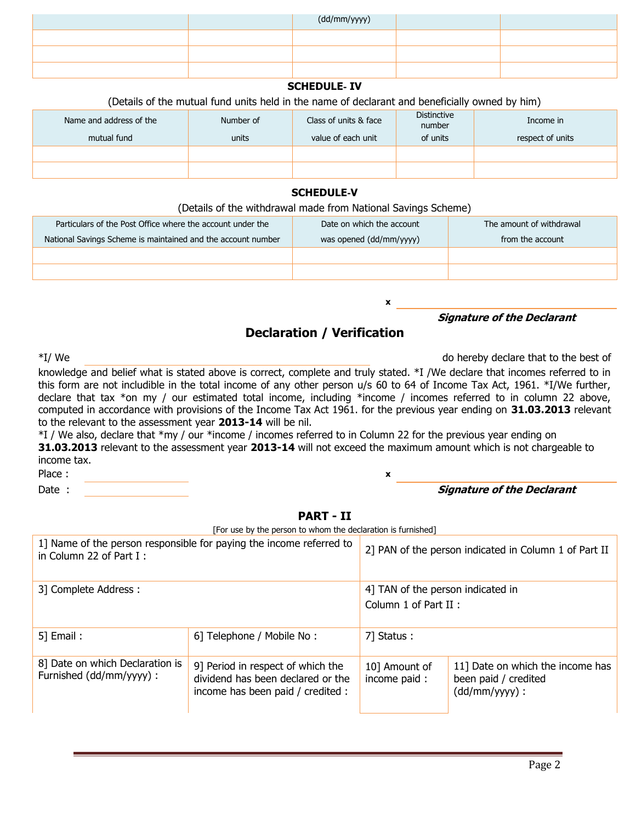|  | (dd/mm/yyyy) |  |
|--|--------------|--|
|  |              |  |
|  |              |  |
|  |              |  |

## **SCHEDULE**‐ **IV**

#### (Details of the mutual fund units held in the name of declarant and beneficially owned by him)

| Name and address of the | Number of | Class of units & face | <b>Distinctive</b><br>number | Income in        |
|-------------------------|-----------|-----------------------|------------------------------|------------------|
| mutual fund             | units     | value of each unit    | of units                     | respect of units |
|                         |           |                       |                              |                  |
|                         |           |                       |                              |                  |

#### **SCHEDULE**‐**V**

#### (Details of the withdrawal made from National Savings Scheme)

| Particulars of the Post Office where the account under the   | Date on which the account | The amount of withdrawal |
|--------------------------------------------------------------|---------------------------|--------------------------|
| National Savings Scheme is maintained and the account number | was opened (dd/mm/yyyy)   | from the account         |
|                                                              |                           |                          |
|                                                              |                           |                          |

# **Declaration / Verification**

#### **Signature of the Declarant**

\*I/ We do hereby declare that to the best of

knowledge and belief what is stated above is correct, complete and truly stated. \*I /We declare that incomes referred to in this form are not includible in the total income of any other person u/s 60 to 64 of Income Tax Act, 1961. \*I/We further, declare that tax \*on my / our estimated total income, including \*income / incomes referred to in column 22 above, computed in accordance with provisions of the Income Tax Act 1961. for the previous year ending on **31.03.2013** relevant to the relevant to the assessment year **2013-14** will be nil.

\*I / We also, declare that \*my / our \*income / incomes referred to in Column 22 for the previous year ending on **31.03.2013** relevant to the assessment year **2013-14** will not exceed the maximum amount which is not chargeable to income tax. Place : **x** 

**x**

#### Date : **Signature of the Declarant**

#### **PART - II**

[For use by the person to whom the declaration is furnished]

| 1] Name of the person responsible for paying the income referred to<br>in Column 22 of Part $I$ : |                                                                                                             |                                                            | 2] PAN of the person indicated in Column 1 of Part II                        |  |  |
|---------------------------------------------------------------------------------------------------|-------------------------------------------------------------------------------------------------------------|------------------------------------------------------------|------------------------------------------------------------------------------|--|--|
| 3] Complete Address:                                                                              |                                                                                                             | 4] TAN of the person indicated in<br>Column 1 of Part II : |                                                                              |  |  |
| $5$ ] Email:                                                                                      | 6] Telephone / Mobile No:                                                                                   | 7] Status:                                                 |                                                                              |  |  |
| 8] Date on which Declaration is<br>Furnished (dd/mm/yyyy) :                                       | 9] Period in respect of which the<br>dividend has been declared or the<br>income has been paid / credited : | 10] Amount of<br>income paid:                              | 11] Date on which the income has<br>been paid / credited<br>$(dd/mm/yyyy)$ : |  |  |